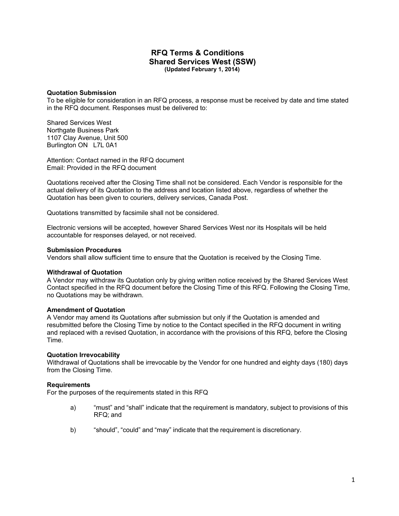# **RFQ Terms & Conditions Shared Services West (SSW) (Updated February 1, 2014)**

#### **Quotation Submission**

To be eligible for consideration in an RFQ process, a response must be received by date and time stated in the RFQ document. Responses must be delivered to:

Shared Services West Northgate Business Park 1107 Clay Avenue, Unit 500 Burlington ON L7L 0A1

Attention: Contact named in the RFQ document Email: Provided in the RFQ document

Quotations received after the Closing Time shall not be considered. Each Vendor is responsible for the actual delivery of its Quotation to the address and location listed above, regardless of whether the Quotation has been given to couriers, delivery services, Canada Post.

Quotations transmitted by facsimile shall not be considered.

Electronic versions will be accepted, however Shared Services West nor its Hospitals will be held accountable for responses delayed, or not received.

#### **Submission Procedures**

Vendors shall allow sufficient time to ensure that the Quotation is received by the Closing Time.

### **Withdrawal of Quotation**

A Vendor may withdraw its Quotation only by giving written notice received by the Shared Services West Contact specified in the RFQ document before the Closing Time of this RFQ. Following the Closing Time, no Quotations may be withdrawn.

### **Amendment of Quotation**

A Vendor may amend its Quotations after submission but only if the Quotation is amended and resubmitted before the Closing Time by notice to the Contact specified in the RFQ document in writing and replaced with a revised Quotation, in accordance with the provisions of this RFQ, before the Closing Time.

#### **Quotation Irrevocability**

Withdrawal of Quotations shall be irrevocable by the Vendor for one hundred and eighty days (180) days from the Closing Time.

#### **Requirements**

For the purposes of the requirements stated in this RFQ

- a) "must" and "shall" indicate that the requirement is mandatory, subject to provisions of this RFQ; and
- b) "should", "could" and "may" indicate that the requirement is discretionary.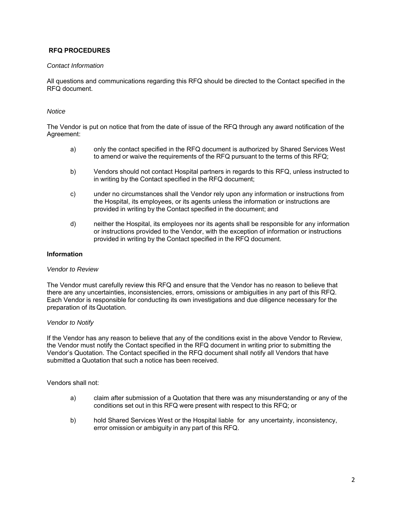# **RFQ PROCEDURES**

### *Contact Information*

All questions and communications regarding this RFQ should be directed to the Contact specified in the RFQ document.

## *Notice*

The Vendor is put on notice that from the date of issue of the RFQ through any award notification of the Agreement:

- a) only the contact specified in the RFQ document is authorized by Shared Services West to amend or waive the requirements of the RFQ pursuant to the terms of this RFQ;
- b) Vendors should not contact Hospital partners in regards to this RFQ, unless instructed to in writing by the Contact specified in the RFQ document;
- c) under no circumstances shall the Vendor rely upon any information or instructions from the Hospital, its employees, or its agents unless the information or instructions are provided in writing by the Contact specified in the document; and
- d) neither the Hospital, its employees nor its agents shall be responsible for any information or instructions provided to the Vendor, with the exception of information or instructions provided in writing by the Contact specified in the RFQ document.

## **Information**

### *Vendor to Review*

The Vendor must carefully review this RFQ and ensure that the Vendor has no reason to believe that there are any uncertainties, inconsistencies, errors, omissions or ambiguities in any part of this RFQ. Each Vendor is responsible for conducting its own investigations and due diligence necessary for the preparation of its Quotation.

## *Vendor to Notify*

If the Vendor has any reason to believe that any of the conditions exist in the above Vendor to Review, the Vendor must notify the Contact specified in the RFQ document in writing prior to submitting the Vendor's Quotation. The Contact specified in the RFQ document shall notify all Vendors that have submitted a Quotation that such a notice has been received.

Vendors shall not:

- a) claim after submission of a Quotation that there was any misunderstanding or any of the conditions set out in this RFQ were present with respect to this RFQ; or
- b) hold Shared Services West or the Hospital liable for any uncertainty, inconsistency, error omission or ambiguity in any part of this RFQ.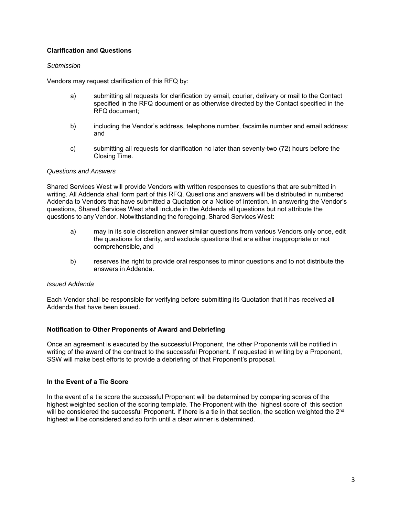# **Clarification and Questions**

## *Submission*

Vendors may request clarification of this RFQ by:

- a) submitting all requests for clarification by email, courier, delivery or mail to the Contact specified in the RFQ document or as otherwise directed by the Contact specified in the RFQ document;
- b) including the Vendor's address, telephone number, facsimile number and email address; and
- c) submitting all requests for clarification no later than seventy-two (72) hours before the Closing Time.

### *Questions and Answers*

Shared Services West will provide Vendors with written responses to questions that are submitted in writing. All Addenda shall form part of this RFQ. Questions and answers will be distributed in numbered Addenda to Vendors that have submitted a Quotation or a Notice of Intention. In answering the Vendor's questions, Shared Services West shall include in the Addenda all questions but not attribute the questions to any Vendor. Notwithstanding the foregoing, Shared Services West:

- a) may in its sole discretion answer similar questions from various Vendors only once, edit the questions for clarity, and exclude questions that are either inappropriate or not comprehensible, and
- b) reserves the right to provide oral responses to minor questions and to not distribute the answers in Addenda.

### *Issued Addenda*

Each Vendor shall be responsible for verifying before submitting its Quotation that it has received all Addenda that have been issued.

### **Notification to Other Proponents of Award and Debriefing**

Once an agreement is executed by the successful Proponent, the other Proponents will be notified in writing of the award of the contract to the successful Proponent. If requested in writing by a Proponent, SSW will make best efforts to provide a debriefing of that Proponent's proposal.

### **In the Event of a Tie Score**

In the event of a tie score the successful Proponent will be determined by comparing scores of the highest weighted section of the scoring template. The Proponent with the highest score of this section will be considered the successful Proponent. If there is a tie in that section, the section weighted the 2<sup>nd</sup> highest will be considered and so forth until a clear winner is determined.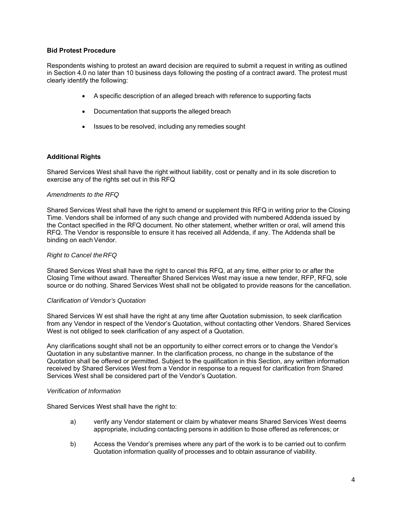## **Bid Protest Procedure**

Respondents wishing to protest an award decision are required to submit a request in writing as outlined in Section 4.0 no later than 10 business days following the posting of a contract award. The protest must clearly identify the following:

- A specific description of an alleged breach with reference to supporting facts
- Documentation that supports the alleged breach
- Issues to be resolved, including any remedies sought

## **Additional Rights**

Shared Services West shall have the right without liability, cost or penalty and in its sole discretion to exercise any of the rights set out in this RFQ

### *Amendments to the RFQ*

Shared Services West shall have the right to amend or supplement this RFQ in writing prior to the Closing Time. Vendors shall be informed of any such change and provided with numbered Addenda issued by the Contact specified in the RFQ document. No other statement, whether written or oral, will amend this RFQ. The Vendor is responsible to ensure it has received all Addenda, if any. The Addenda shall be binding on each Vendor.

#### *Right to Cancel the RFQ*

Shared Services West shall have the right to cancel this RFQ, at any time, either prior to or after the Closing Time without award. Thereafter Shared Services West may issue a new tender, RFP, RFQ, sole source or do nothing. Shared Services West shall not be obligated to provide reasons for the cancellation.

### *Clarification of Vendor's Quotation*

Shared Services W est shall have the right at any time after Quotation submission, to seek clarification from any Vendor in respect of the Vendor's Quotation, without contacting other Vendors. Shared Services West is not obliged to seek clarification of any aspect of a Quotation.

Any clarifications sought shall not be an opportunity to either correct errors or to change the Vendor's Quotation in any substantive manner. In the clarification process, no change in the substance of the Quotation shall be offered or permitted. Subject to the qualification in this Section, any written information received by Shared Services West from a Vendor in response to a request for clarification from Shared Services West shall be considered part of the Vendor's Quotation.

### *Verification of Information*

Shared Services West shall have the right to:

- a) verify any Vendor statement or claim by whatever means Shared Services West deems appropriate, including contacting persons in addition to those offered as references; or
- b) Access the Vendor's premises where any part of the work is to be carried out to confirm Quotation information quality of processes and to obtain assurance of viability.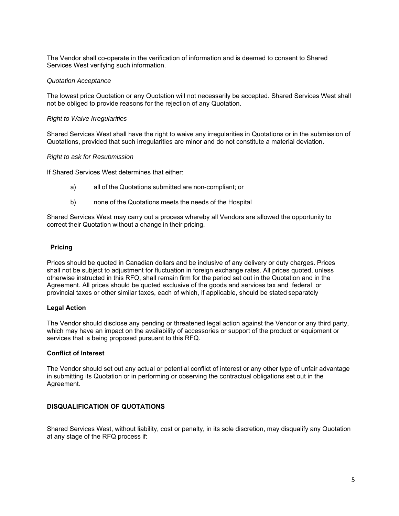The Vendor shall co-operate in the verification of information and is deemed to consent to Shared Services West verifying such information.

### *Quotation Acceptance*

The lowest price Quotation or any Quotation will not necessarily be accepted. Shared Services West shall not be obliged to provide reasons for the rejection of any Quotation.

#### *Right to Waive Irregularities*

Shared Services West shall have the right to waive any irregularities in Quotations or in the submission of Quotations, provided that such irregularities are minor and do not constitute a material deviation.

#### *Right to ask for Resubmission*

If Shared Services West determines that either:

- a) all of the Quotations submitted are non-compliant; or
- b) none of the Quotations meets the needs of the Hospital

Shared Services West may carry out a process whereby all Vendors are allowed the opportunity to correct their Quotation without a change in their pricing.

#### **Pricing**

Prices should be quoted in Canadian dollars and be inclusive of any delivery or duty charges. Prices shall not be subject to adjustment for fluctuation in foreign exchange rates. All prices quoted, unless otherwise instructed in this RFQ, shall remain firm for the period set out in the Quotation and in the Agreement. All prices should be quoted exclusive of the goods and services tax and federal or provincial taxes or other similar taxes, each of which, if applicable, should be stated separately

### **Legal Action**

The Vendor should disclose any pending or threatened legal action against the Vendor or any third party, which may have an impact on the availability of accessories or support of the product or equipment or services that is being proposed pursuant to this RFQ.

### **Conflict of Interest**

The Vendor should set out any actual or potential conflict of interest or any other type of unfair advantage in submitting its Quotation or in performing or observing the contractual obligations set out in the Agreement.

## **DISQUALIFICATION OF QUOTATIONS**

Shared Services West, without liability, cost or penalty, in its sole discretion, may disqualify any Quotation at any stage of the RFQ process if: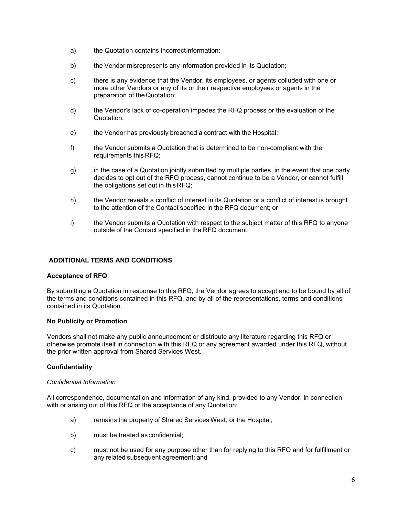- a) the Quotation contains incorrectinformation;
- b) the Vendor misrepresents any information provided in its Quotation;
- c) there is any evidence that the Vendor, its employees, or agents colluded with one or more other Vendors or any of its or their respective employees or agents in the preparation of the Quotation;
- d) the Vendor's lack of co-operation impedes the RFQ process or the evaluation of the Quotation;
- e) the Vendor has previously breached a contract with the Hospital;
- f) the Vendor submits a Quotation that is determined to be non-compliant with the requirements this RFQ;
- g) in the case of a Quotation jointly submitted by multiple parties, in the event that one party decides to opt out of the RFQ process, cannot continue to be a Vendor, or cannot fulfill the obligations set out in this RFQ;
- h) the Vendor reveals a conflict of interest in its Quotation or a conflict of interest is brought to the attention of the Contact specified in the RFQ document; or
- i) the Vendor submits a Quotation with respect to the subject matter of this RFQ to anyone outside of the Contact specified in the RFQ document.

## **ADDITIONAL TERMS AND CONDITIONS**

## **Acceptance of RFQ**

By submitting a Quotation in response to this RFQ, the Vendor agrees to accept and to be bound by all of the terms and conditions contained in this RFQ, and by all of the representations, terms and conditions contained in its Quotation.

## **No Publicity or Promotion**

Vendors shall not make any public announcement or distribute any literature regarding this RFQ or otherwise promote itself in connection with this RFQ or any agreement awarded under this RFQ, without the prior written approval from Shared Services West.

## **Confidentiality**

### *Confidential Information*

All correspondence, documentation and information of any kind, provided to any Vendor, in connection with or arising out of this RFQ or the acceptance of any Quotation:

- a) remains the property of Shared Services West, or the Hospital;
- b) must be treated as confidential;
- c) must not be used for any purpose other than for replying to this RFQ and for fulfillment or any related subsequent agreement; and